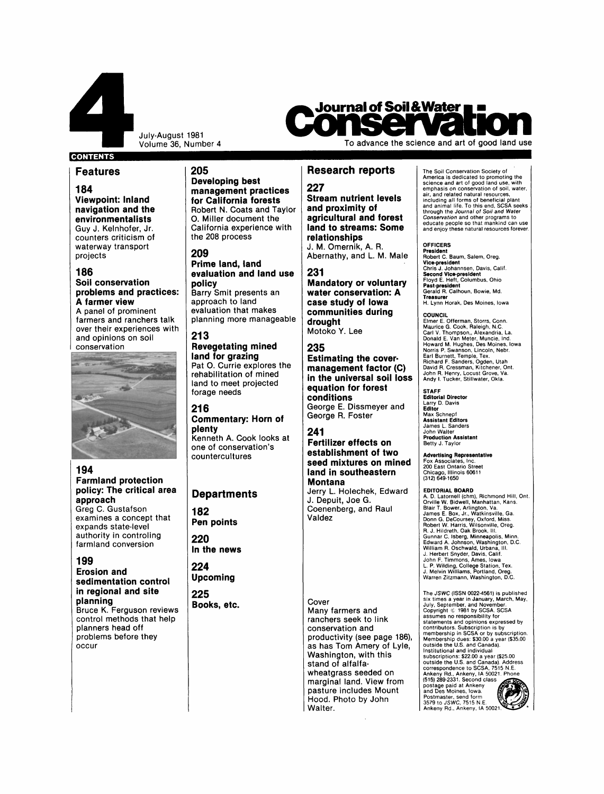

July-August 1981

# **CONTENTS**

# <sup>1</sup>**Features**

**184 Viewpoint: Inland navigation and the environmentalists** Guy J. Kelnhofer, Jr. counters criticism of waterway transport projects

# **186**

# **Soil conservation problems and practices: A farmer view**

A panel of prominent and opinions on soil conservation farmers and ranchers talk over their experiences with



## **194 Farmland protection policy: The critical area approach**

Greg C. Gustafson examines a concept that expands state-level authority in controling farmland conversion

# **199**

### **Erosion and sedimentation control in regional and site planning**  Bruce K. Ferguson reviews control methods that help planners head off problems before they occur

**205 Developing best management practices for California forests**  Robert N. Coats and Taylor 0. Miller document the California experience with the 208 process

## **209**

**Prime land, land evaluation and land use policy**  Barry Smit presents an approach to land evaluation that makes planning more manageable

# **21 3**

**Revegetating mined land for grazing**  Pat **0.** Currie explores the rehabilitation of mined land to meet projected forage needs

# **21 6**

## **Commentary: Horn of plenty**

Kenneth A. Cook looks at one of conservation's countercultures

# **Departments**

**182 Pen points** 

**220 In the news** 

**224 Upcoming** 

**225 Books, etc.** 

**Journal of Soil & Water** i

**227 Stream nutrient levels and proximity of agricultural and forest land to streams: Some relationships**  J. **M.** Omernik, **A.** R. Abernathy, and L. M. Male

### **231**

**Mandatory or voluntary water conservation: A case study of Iowa communities during drought**  Motoko **Y.** Lee

## **235**

**Estimating the cover. management factor (C) in the universal soil loss equation for forest conditions**  George **E.** Dissmeyer and George R. Foster

# **241**

# **Fertilizer effects on establishment of two seed mixtures on mined land in southeastern Montana**

Jerry L. Holechek, Edward J. Depuit, Joe G. Coenenberg, and Raul Valdez

Cover

Many farmers and ranchers seek to link conservation and productivity (see page 186), as has Tom Amery of Lyle, Washington, with this stand of alfalfawheatgrass seeded on marginal land. View from pasture includes Mount Hood. Photo by John Walter.

The Soil Conservation Society of America is dedicated to promoting the science and art of good land use, with emphasis on conservation of soil, water, air, and related natural resources,<br>including all forms of beneficial plant<br>and animal life. To this end, SCSA seeks<br>through the *Journal of Soil and Water*<br>*Conservation* and other programs to<br>educate people so that manki

To advance the science and art of good land use

**OFFICERS**<br>President<br>Robert C. Baum, Salem, Oreg.<br>Vice-president<br>Chris J. Johannsen, Davis, Calif.<br>Second Vice-president<br>Past-president<br>Past-president<br>Teasurer Calhoun, Bowie, Md.<br>Gerald R. Calhoun, Bowie, Md.<br>H. Lynn Hora

### **COUNCIL**

Elmer E. Offerman, Storrs, Conn. Maurice G. Cook, Raleigh, N.C. Carl V. Thompson,, Alexandria, La.<br>Donald E. Van Meter, Muncie, Ind.<br>Howard M. Hughes, Des Moines, Iowa<br>Norris P. Swanson, Lincoln, Nebr.<br>Earl Burnett, Temple, Tex.<br>Bichard F. Sanders, Ogden, Utah<br>David R. Cressman, Kitche

**STAFF Editorial Director**  Larry D. Davis **Editor**  Max Schnepf **Assistant Editors**  James L. Sanders John Walter **Production Assistant**  Betty **J.** Taylor

**Advertising Representative**<br>Fox Associates, Inc.<br>200 East Ontario Street<br>Chicago, Illinois 60611<br>(312) 649-1650

EDITORIAL BOARD<br>A. D. Latornell (chm), Richmond Hill, Ont.<br>Orville W. Bidwell, Manhattan, Kans.<br>Blair T. Bower, Arlington, Va.<br>James E. Box, Jr., Watkinsville, Ga.<br>Donn G. DeCoursey, Oxford, Miss.<br>Robert W. Harris, Wilsonv L. P. Wilding, College Station, Tex. J. Melvin Williams, Portland, Oreg. Warren Zitzmann, Washington, D.C.

The JSWC (ISSN 0022-4561) is published<br>six times a year in January, March, May,<br>July, September, and November.<br>Copyright © 1981 by SCSA. SCSA<br>statements and epinions expressed by<br>contributors. Subscription is by<br>membership

**Research reports**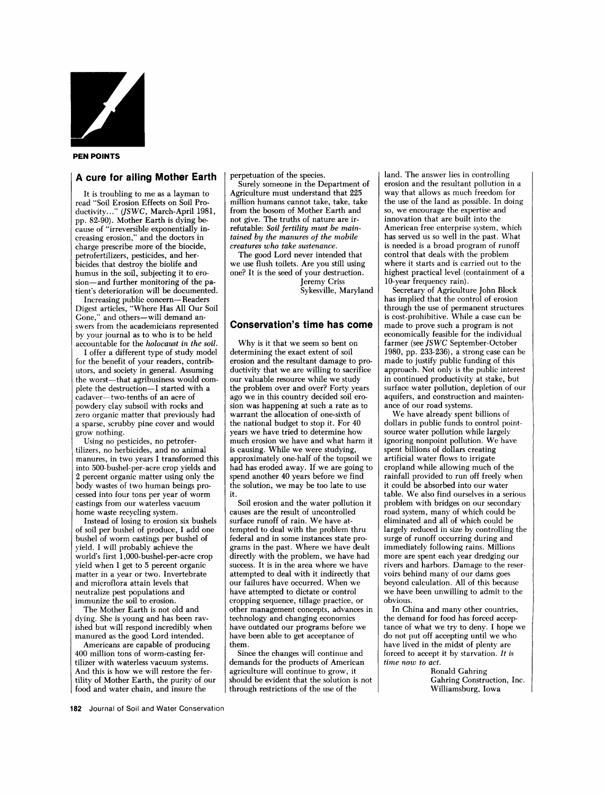

#### **PEN POINTS**

# **A cure for ailing Mother Earth**

It is troubling to me as a layman to read "Soil Erosion Effects on Soil Productivity..." (JSWC, March-April 1981, pp. 82-90). Mother Earth is dying because of "irreversible exponentially increasing erosion," and the doctors in charge prescribe more of the biocide, petrofertilizers, pesticides, and herbicides that destroy the biolife and humus in the soil, subjecting it to erosion-and further monitoring of the patient's deterioration will be documented.

Increasing public concern- Readers Digest articles, "Where Has All Our Soil Gone," and others-will demand answers from the academicians represented by your journal as to who is to be held accountable for the *holocaust in the soil.* 

I offer a different type of study model for the benefit of your readers, contributors, and society in general. Assuming the worst-that agribusiness would complete the destruction-I started with a cadaver-two-tenths of an acre of powdery clay subsoil with rocks and zero organic matter that previously had a sparse, scrubby pine cover and would grow nothing.

Using no pesticides, no petrofertilizers, no herbicides, and no animal manures, in two years I transformed this into 500-bushel-per-acre crop yields and 2 percent organic matter using only the body wastes of two human beings processed into four tons per year of worm castings from our waterless vacuum home waste recycling system.

Instead of losing to erosion six bushels of soil per bushel of produce, **I** add one bushel of worm castings per bushel of yield. I will probably achieve the world's first 1,000-bushel-per-acre crop yield when I get to *5* percent organic matter in a year or two. Invertebrate and microflora attain levels that neutralize pest populations and immunize the soil to erosion.

The Mother Earth is not old and dying. She is young and has been ravished but will respond incredibly when manured as the good Lord intended.

Americans are capable of producing 400 million tons of worm-casting fertilizer with waterless vacuum systems. And this is how we will restore the fertility of Mother Earth, the purity of our food and water chain, and insure the

perpetuation of the species.

Surely someone in the Department of Agriculture must understand that 225 million humans cannot take, take, take from the bosom of Mother Earth and not give. The truths of nature are irrefutable: *Soil fertility must be maintained by the manures of the mobile creatures who take sustenance.* 

The good Lord never intended that we use flush toilets. Are you still using one? It is the seed of your destruction. Jeremy Criss

Sykesville, Maryland

# **Conservation's time has come**

Why is it that we seem so bent on determining the exact extent of soil erosion and the resultant damage to productivity that we are willing to sacrifice our valuable resource while we study the problem over and over? Forty years ago we in this country decided soil erosion was happening at such a rate as to warrant the allocation of one-sixth of the national budget to stop it. For 40 years we have tried to determine how much erosion we have and what harm it is causing. While we were studying, approximately one-half of the topsoil we had has eroded away. If we are going to spend another 40 years before we find the solution, we may be too late to use it.

causes are the result of uncontrolled surface runoff of rain. We have attempted to deal with the problem thru federal and in some instances state programs in the past. Where we have dealt directly with the problem, we have had success. It is in the area where we have attempted to deal with it indirectly that our failures have occurred. When we have attempted to dictate or control cropping sequence, tillage practice, or other management concepts, advances in technology and changing economics have outdated our programs before we have been able to get acceptance of them. Soil erosion and the water pollution it

Since the changes will continue and demands for the products of American agriculture will continue to grow, it should be evident that the solution is not through restrictions of the use of the

land. The answer lies in controlling erosion and the resultant pollution in a way that allows as much freedom for the use of the land as possible. In doing so, we encourage the expertise and innovation that are built into the American free enterprise system, which has served us so well in the past. What is needed is a broad program of runoff control that deals with the problem where it starts and is carried out to the highest practical level (containment of a 10-year frequency rain).

Secretary of Agriculture John Block has implied that the control of erosion through the use of permanent structures is cost-prohibitive. While a case can be made to prove such a program is not economically feasible for the individual farmer (see *JS* WC September-October 1980, pp. 233-236), a strong case can be made to justify public funding of this approach. Not only is the public interest in continued productivity at stake, but surface water pollution, depletion of our aquifers, and construction and maintenance of our road systems.

We have already spent billions of dollars in public funds to control pointsource water pollution while largely ignoring nonpoint pollution. We have spent billions of dollars creating artificial water flows to irrigate cropland while allowing much of the rainfall provided to run off freely when it could be absorbed into our water table. We also find ourselves in a serious problem with bridges on our secondary road system, many of which could be eliminated and all of which could be largely reduced in size by controlling the surge of runoff occurring during and immediately following rains. Millions more are spent each year dredging our rivers and harbors. Damage to the reservoirs behind many of our dams goes beyond calculation. All of this because we have been unwilling to admit to the obvious.

In China and many other countries, the demand for food has forced acceptance of what we try to deny. **I** hope we do not put off accepting until we who have lived in the midst of plenty are forced to accept it by starvation. *It is time now to act.* 

Ronald Gahring Gahring Construction, Inc. Williamsburg, Iowa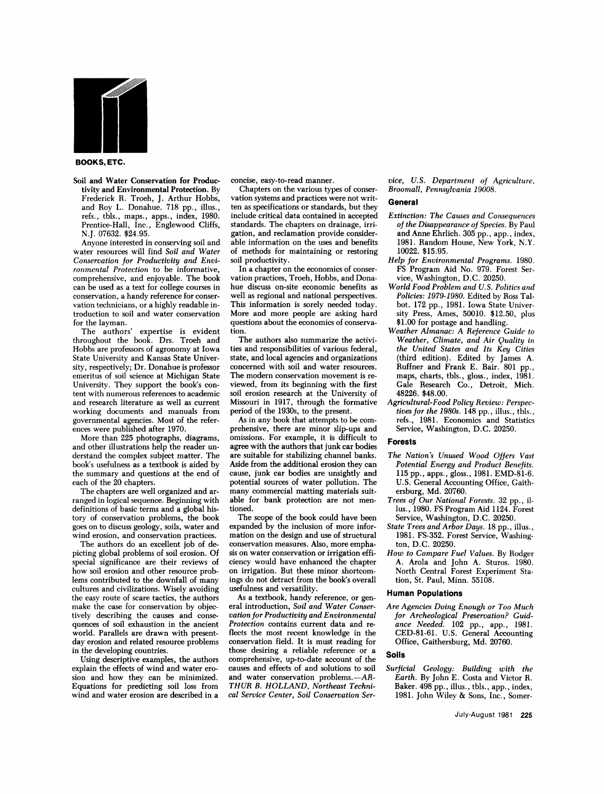

#### **BOOKS, ETC.**

Soil and Water Conservation for Productivity and Environmental Protection. By Frederick R. Troeh, J. Arthur Hobbs, and Roy L. Donahue. **718** pp., illus., refs., tbls., maps., apps., index, **1980.**  Prentice-Hall, Inc., Englewood Cliffs, N.J. **07632. \$24.95.** 

Anyone interested in conserving soil and water resources will find *Soil and Water Conservation for Productivity and Environmental Protection* to be informative, comprehensive, and enjoyable. The book can be used as a text for college courses in conservation, a handy reference for conservation technicians, or a highly readable introduction to soil and water conservation for the layman.

The authors' expertise is evident throughout the book. Drs. Troeh and Hobbs are professors of agronomy at Iowa State University and Kansas State University, respectively; Dr. Donahue is professor emeritus of soil science at Michigan State University. They support the book's content with numerous references to academic and research literature as well **as** current working documents and manuals from governmental agencies. Most of the references were published after **1970.** 

More than **225** photographs, diagrams, and other illustrations help the reader understand the complex subject matter. The book's usefulness as a textbook is aided by the summary and questions at the end of each of the **20** chapters.

The chapters are well organized and arranged in logical sequence. Beginning with definitions of basic terms and a global history of conservation problems, the book goes on to discuss geology, soils, water and wind erosion, and conservation practices.

The authors do an excellent job of depicting global problems of soil erosion. Of special significance are their reviews of how soil erosion and other resource problems contributed to the downfall of many cultures and civilizations. Wisely avoiding the easy route of scare tactics, the authors make the case for conservation by objectively describing the causes and consequences of soil exhaustion in the ancient world. Parallels are drawn with presentday erosion and related resource problems in the developing countries.

Using descriptive examples, the authors explain the effects of wind and water erosion and how they can be minimized. Equations for predicting soil loss from wind and water erosion are described in a

concise, easy-to-read manner.

Chapters on the various types of conservation systems and practices were not written as specifications or standards, but they include critical data contained in accepted standards. The chapters on drainage, irrigation, and reclamation provide considerable information on the uses and benefits of methods for maintaining or restoring soil productivity.

In a chapter on the economics of conservation practices, Troeh, Hobbs, and Donahue discuss on-site economic benefits **as**  well as regional and national perspectives. This information is sorely needed today. More and more people are asking hard questions about the economics of conservation.

The authors also summarize the activities and responsibilities of various federal, state, and local agencies and organizations concerned with soil and water resources. The modern conservation movement is reviewed, from its beginning with the first soil erosion research at the University of Missouri in **1917,** through the formative period of the **1930s,** to the present.

As in any book that attempts to be comprehensive, there are minor slip-ups and omissions. For example, it is difficult to agree with the authors that junk car bodies are suitable for stabilizing channel banks. Aside from the additional erosion they can cause, junk car bodies are unsightly and potential sources of water pollution. The many commercial matting materials suitable for bank protection are not mentioned.

The scope of the book could have been expanded by the inclusion of more information on the design and use of structural conservation measures. Also, more emphasis on water conservation or irrigation efficiency would have enhanced the chapter on irrigation. But these minor shortcomings do not detract from the book's overall usefulness and versatility.

As a textbook, handy reference, or general introduction, *Soil and Water Conservation for Productivity and Environmental Protection* contains current data and reflects the most recent knowledge in the conservation field. It is must reading for those desiring a reliable reference or a comprehensive, up-to-date account of the causes and effects of and solutions to soil and water conservation problems.-AR-*THUR* B. *HOLLAND, Northeast Technical Service Center, Soil Conservation Ser-*

*vice, U.S. Department of Agriculture, Broomall, Pennsylvania 19008.* 

#### **General**

- *Extinction: The Causes and Consequences of the Disappearance of Species.* By Paul and Anne Ehrlich. **305** pp., app., index, **1981.** Random House, New York, N.Y. **10022. \$15.95.**
- *Help for Environmental Programs.* **1980.**  FS Program Aid No. 979. Forest Service, Washington, D.C. **20250.**
- *World Food Problem and U. S. Politics and Policies: 1979-1980.* Edited by Ross Talbot. **172** pp., **1981.** Iowa State University Press, Ames, **50010. \$12.50,** plus **\$1.00** for postage and handling.
- *Weather Almanac: A Reference Guide to Weather, Climate, and Air Quality in the United States and Its Key Cities*  (third edition). Edited by James A. Ruffner and Frank E. Bair. **801** pp., maps, charts, tbls., gloss., index, **1981.**  Gale Research Co., Detroit, Mich. **48226. \$48.00.**
- *Agricultural-Food Policy Review: Perspectives for the* **1980s. 148** pp., illus., tbls., refs., **1981.** Economics and Statistics Service, Washington, D.C. **20250.**

#### **Forests**

- *The Nation's Unused Wood Offers Vast Potential Energy and Product Benefits.*  **115** pp., apps., gloss., **1981.** EMD-81-6. U.S. General Accounting Office, Gaithersburg, Md. **20760.**
- *Trees of Our National Forests.* **32** pp., illus., **1980.** FS Program Aid **1124.** Forest Service, Washington, D.C. **20250.**
- *State Trees and Arbor Days.* **18** pp., illus., **1981. FS-352.** Forest Service, Washington, D.C. **20250.**
- *How to Compare Fuel Values.* By Rodger A. Arola and John A. Sturos. **1980.**  North Central Forest Experiment Station, St. Paul, Minn. **55108.**

#### **Human Populations**

*Are Agencies Doing Enough or Too Much for Archeological Preservation? Guidance Needed.* **102** pp., app., **1981. CED-81-61.** U.S. General Accounting Office, Gaithersburg, Md. **20760.** 

#### **Soils**

*Surjicial Geology: Building with the Earth.* By John E. Costa and Victor **R.**  Baker. **498** pp., illus., tbls., app., index, **1981.** John Wiley & Sons, Inc., Somer-